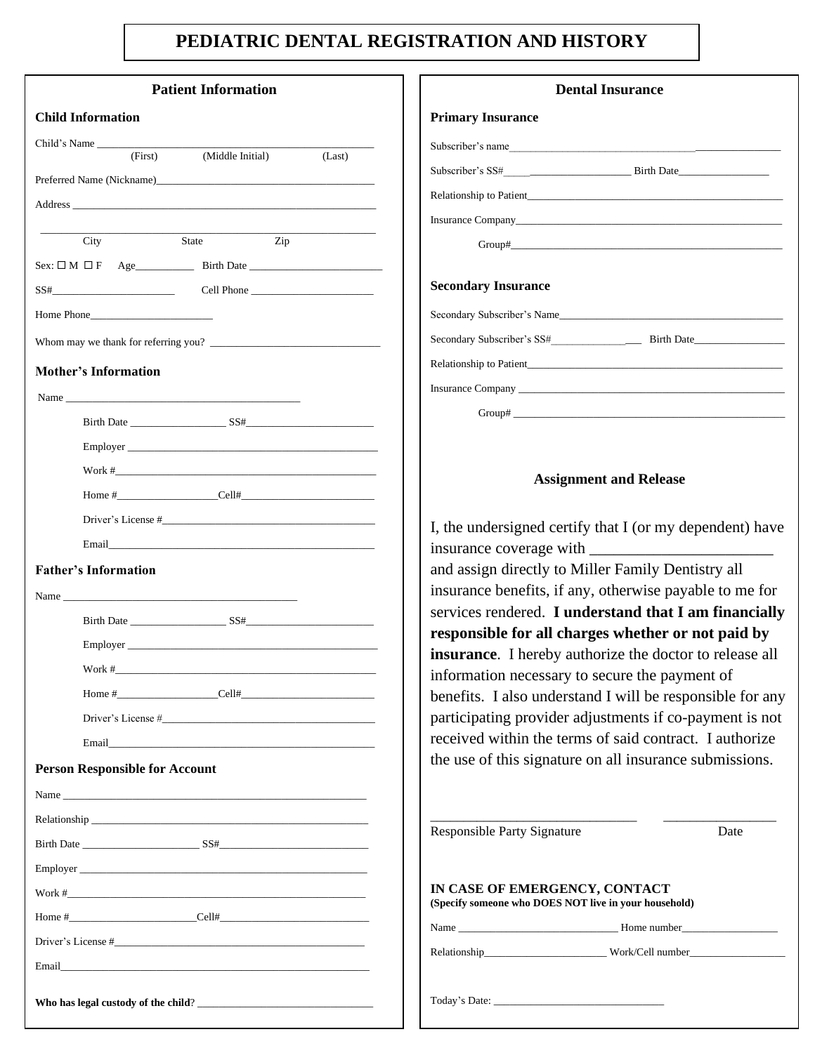# **PEDIATRIC DENTAL REGISTRATION AND HISTORY**

| <b>Patient Information</b>                                                                                    | <b>Dental Insurance</b>                                                                                                                                                                                                                                                                                                                                                                               |
|---------------------------------------------------------------------------------------------------------------|-------------------------------------------------------------------------------------------------------------------------------------------------------------------------------------------------------------------------------------------------------------------------------------------------------------------------------------------------------------------------------------------------------|
| <b>Child Information</b>                                                                                      | <b>Primary Insurance</b>                                                                                                                                                                                                                                                                                                                                                                              |
| Child's Name                                                                                                  | Subscriber's name                                                                                                                                                                                                                                                                                                                                                                                     |
| (First)<br>(Middle Initial)<br>(Last)                                                                         |                                                                                                                                                                                                                                                                                                                                                                                                       |
|                                                                                                               |                                                                                                                                                                                                                                                                                                                                                                                                       |
|                                                                                                               |                                                                                                                                                                                                                                                                                                                                                                                                       |
| $\overline{Zip}$<br>State<br>City                                                                             | $Group# \fbox{\hspace{0.5cm}}\fbox{\hspace{0.5cm}}\fbox{\hspace{0.5cm}}\fbox{\hspace{0.5cm}}\fbox{\hspace{0.5cm}}\fbox{\hspace{0.5cm}}\fbox{\hspace{0.5cm}}\fbox{\hspace{0.5cm}}\fbox{\hspace{0.5cm}}\fbox{\hspace{0.5cm}}\fbox{\hspace{0.5cm}}\fbox{\hspace{0.5cm}}\fbox{\hspace{0.5cm}}\fbox{\hspace{0.5cm}}\fbox{\hspace{0.5cm}}\fbox{\hspace{0.5cm}}\fbox{\hspace{0.5cm}}\fbox{\hspace{0.5cm}}\f$ |
|                                                                                                               |                                                                                                                                                                                                                                                                                                                                                                                                       |
|                                                                                                               | <b>Secondary Insurance</b>                                                                                                                                                                                                                                                                                                                                                                            |
| Home Phone                                                                                                    | Secondary Subscriber's Name                                                                                                                                                                                                                                                                                                                                                                           |
|                                                                                                               |                                                                                                                                                                                                                                                                                                                                                                                                       |
|                                                                                                               |                                                                                                                                                                                                                                                                                                                                                                                                       |
| <b>Mother's Information</b>                                                                                   |                                                                                                                                                                                                                                                                                                                                                                                                       |
|                                                                                                               |                                                                                                                                                                                                                                                                                                                                                                                                       |
|                                                                                                               | $Group\#$                                                                                                                                                                                                                                                                                                                                                                                             |
|                                                                                                               |                                                                                                                                                                                                                                                                                                                                                                                                       |
|                                                                                                               | <b>Assignment and Release</b>                                                                                                                                                                                                                                                                                                                                                                         |
|                                                                                                               |                                                                                                                                                                                                                                                                                                                                                                                                       |
| Driver's License #                                                                                            | I, the undersigned certify that I (or my dependent) have                                                                                                                                                                                                                                                                                                                                              |
|                                                                                                               |                                                                                                                                                                                                                                                                                                                                                                                                       |
| <b>Father's Information</b>                                                                                   | and assign directly to Miller Family Dentistry all                                                                                                                                                                                                                                                                                                                                                    |
|                                                                                                               | insurance benefits, if any, otherwise payable to me for                                                                                                                                                                                                                                                                                                                                               |
|                                                                                                               | services rendered. I understand that I am financially                                                                                                                                                                                                                                                                                                                                                 |
|                                                                                                               | responsible for all charges whether or not paid by                                                                                                                                                                                                                                                                                                                                                    |
|                                                                                                               | insurance. I hereby authorize the doctor to release all                                                                                                                                                                                                                                                                                                                                               |
|                                                                                                               | information necessary to secure the payment of<br>benefits. I also understand I will be responsible for any                                                                                                                                                                                                                                                                                           |
|                                                                                                               | participating provider adjustments if co-payment is not                                                                                                                                                                                                                                                                                                                                               |
| Email and the contract of the contract of the contract of the contract of the contract of the contract of the | received within the terms of said contract. I authorize                                                                                                                                                                                                                                                                                                                                               |
| <b>Person Responsible for Account</b>                                                                         | the use of this signature on all insurance submissions.                                                                                                                                                                                                                                                                                                                                               |
|                                                                                                               |                                                                                                                                                                                                                                                                                                                                                                                                       |
|                                                                                                               |                                                                                                                                                                                                                                                                                                                                                                                                       |
|                                                                                                               | <b>Responsible Party Signature</b><br>Date                                                                                                                                                                                                                                                                                                                                                            |
|                                                                                                               |                                                                                                                                                                                                                                                                                                                                                                                                       |
|                                                                                                               |                                                                                                                                                                                                                                                                                                                                                                                                       |
| $Work$ #                                                                                                      | IN CASE OF EMERGENCY, CONTACT<br>(Specify someone who DOES NOT live in your household)                                                                                                                                                                                                                                                                                                                |
|                                                                                                               |                                                                                                                                                                                                                                                                                                                                                                                                       |
|                                                                                                               | Relationship____________________________Work/Cell number________________________                                                                                                                                                                                                                                                                                                                      |
| Email and the contract of the contract of the contract of the contract of the contract of the contract of the |                                                                                                                                                                                                                                                                                                                                                                                                       |
|                                                                                                               |                                                                                                                                                                                                                                                                                                                                                                                                       |
|                                                                                                               |                                                                                                                                                                                                                                                                                                                                                                                                       |